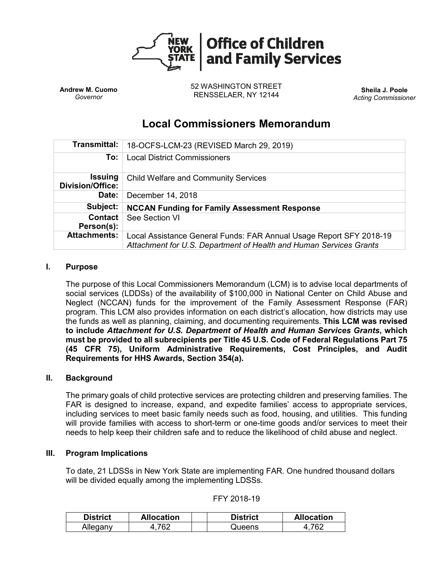

**Andrew M. Cuomo** *Governor*

52 WASHINGTON STREET RENSSELAER, NY 12144 **Sheila J. Poole**

*Acting Commissioner*

# **Local Commissioners Memorandum**

| Transmittal:                              | 18-OCFS-LCM-23 (REVISED March 29, 2019)                                                                                                   |
|-------------------------------------------|-------------------------------------------------------------------------------------------------------------------------------------------|
| To:                                       | <b>Local District Commissioners</b>                                                                                                       |
| <b>Issuing</b><br><b>Division/Office:</b> | <b>Child Welfare and Community Services</b>                                                                                               |
| Date:                                     | December 14, 2018                                                                                                                         |
| Subject:                                  | <b>NCCAN Funding for Family Assessment Response</b>                                                                                       |
| Contact<br>Person(s):                     | See Section VI                                                                                                                            |
| <b>Attachments:</b>                       | Local Assistance General Funds: FAR Annual Usage Report SFY 2018-19<br>Attachment for U.S. Department of Health and Human Services Grants |

## **I. Purpose**

The purpose of this Local Commissioners Memorandum (LCM) is to advise local departments of social services (LDDSs) of the availability of \$100,000 in National Center on Child Abuse and Neglect (NCCAN) funds for the improvement of the Family Assessment Response (FAR) program. This LCM also provides information on each district's allocation, how districts may use the funds as well as planning, claiming, and documenting requirements. **This LCM was revised to include** *Attachment for U.S. Department of Health and Human Services Grants***, which must be provided to all subrecipients per Title 45 U.S. Code of Federal Regulations Part 75 (45 CFR 75), Uniform Administrative Requirements, Cost Principles, and Audit Requirements for HHS Awards, Section 354(a).** 

## **II. Background**

The primary goals of child protective services are protecting children and preserving families. The FAR is designed to increase, expand, and expedite families' access to appropriate services, including services to meet basic family needs such as food, housing, and utilities. This funding will provide families with access to short-term or one-time goods and/or services to meet their needs to help keep their children safe and to reduce the likelihood of child abuse and neglect.

#### **III. Program Implications**

To date, 21 LDSSs in New York State are implementing FAR. One hundred thousand dollars will be divided equally among the implementing LDSSs.

| <b>District</b> | <b>Allocation</b> | <b>District</b> | <b>Allocation</b> |
|-----------------|-------------------|-----------------|-------------------|
| Alleganv        | 762               | Queens          | 762               |

| FFY 2018-19 |  |  |  |
|-------------|--|--|--|
|-------------|--|--|--|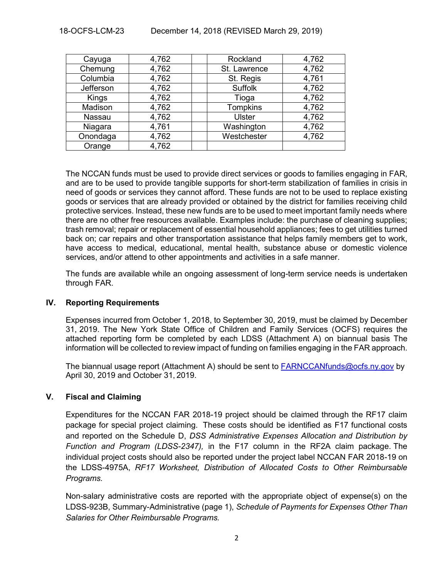## 18-OCFS-LCM-23 December 14, 2018 (REVISED March 29, 2019)

| Cayuga    | 4,762 | Rockland        | 4,762 |
|-----------|-------|-----------------|-------|
| Chemung   | 4,762 | St. Lawrence    | 4,762 |
| Columbia  | 4,762 | St. Regis       | 4,761 |
| Jefferson | 4,762 | <b>Suffolk</b>  | 4,762 |
| Kings     | 4,762 | Tioga           | 4,762 |
| Madison   | 4,762 | <b>Tompkins</b> | 4,762 |
| Nassau    | 4,762 | <b>Ulster</b>   | 4,762 |
| Niagara   | 4,761 | Washington      | 4,762 |
| Onondaga  | 4,762 | Westchester     | 4,762 |
| Orange    | 4,762 |                 |       |

The NCCAN funds must be used to provide direct services or goods to families engaging in FAR, and are to be used to provide tangible supports for short-term stabilization of families in crisis in need of goods or services they cannot afford. These funds are not to be used to replace existing goods or services that are already provided or obtained by the district for families receiving child protective services. Instead, these new funds are to be used to meet important family needs where there are no other free resources available. Examples include: the purchase of cleaning supplies; trash removal; repair or replacement of essential household appliances; fees to get utilities turned back on; car repairs and other transportation assistance that helps family members get to work, have access to medical, educational, mental health, substance abuse or domestic violence services, and/or attend to other appointments and activities in a safe manner.

The funds are available while an ongoing assessment of long-term service needs is undertaken through FAR.

#### **IV. Reporting Requirements**

Expenses incurred from October 1, 2018, to September 30, 2019, must be claimed by December 31, 2019. The New York State Office of Children and Family Services (OCFS) requires the attached reporting form be completed by each LDSS (Attachment A) on biannual basis The information will be collected to review impact of funding on families engaging in the FAR approach.

The biannual usage report (Attachment A) should be sent to [FARNCCANfunds@ocfs.ny.gov](mailto:FARNCCANfunds@ocfs.ny.gov) by April 30, 2019 and October 31, 2019.

## **V. Fiscal and Claiming**

Expenditures for the NCCAN FAR 2018-19 project should be claimed through the RF17 claim package for special project claiming. These costs should be identified as F17 functional costs and reported on the Schedule D, *DSS Administrative Expenses Allocation and Distribution by Function and Program (LDSS-2347),* in the F17 column in the RF2A claim package. The individual project costs should also be reported under the project label NCCAN FAR 2018-19 on the LDSS-4975A, *RF17 Worksheet, Distribution of Allocated Costs to Other Reimbursable Programs.* 

Non-salary administrative costs are reported with the appropriate object of expense(s) on the LDSS-923B, Summary-Administrative (page 1), *Schedule of Payments for Expenses Other Than Salaries for Other Reimbursable Programs.*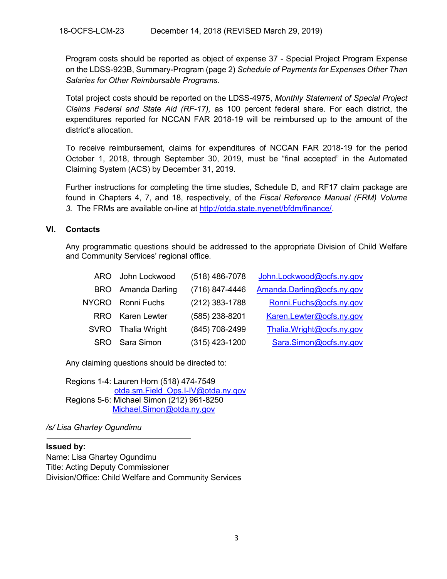Program costs should be reported as object of expense 37 - Special Project Program Expense on the LDSS-923B, Summary-Program (page 2) *Schedule of Payments for Expenses Other Than Salaries for Other Reimbursable Programs.* 

Total project costs should be reported on the LDSS-4975, *Monthly Statement of Special Project Claims Federal and State Aid (RF-17),* as 100 percent federal share. For each district, the expenditures reported for NCCAN FAR 2018-19 will be reimbursed up to the amount of the district's allocation.

To receive reimbursement, claims for expenditures of NCCAN FAR 2018-19 for the period October 1, 2018, through September 30, 2019, must be "final accepted" in the Automated Claiming System (ACS) by December 31, 2019.

Further instructions for completing the time studies, Schedule D, and RF17 claim package are found in Chapters 4, 7, and 18, respectively, of the *Fiscal Reference Manual (FRM) Volume 3.* The FRMs are available on-line at [http://otda.state.nyenet/bfdm/finance/.](http://otda.state.nyenet/bfdm/finance/)

## **VI. Contacts**

Any programmatic questions should be addressed to the appropriate Division of Child Welfare and Community Services' regional office.

|              | ARO John Lockwood         | $(518)$ 486-7078 | John.Lockwood@ocfs.ny.gov  |
|--------------|---------------------------|------------------|----------------------------|
|              | <b>BRO</b> Amanda Darling | (716) 847-4446   | Amanda.Darling@ocfs.ny.gov |
| <b>NYCRO</b> | Ronni Fuchs               | (212) 383-1788   | Ronni.Fuchs@ocfs.ny.gov    |
|              | RRO Karen Lewter          | (585) 238-8201   | Karen.Lewter@ocfs.ny.gov   |
| <b>SVRO</b>  | <b>Thalia Wright</b>      | (845) 708-2499   | Thalia.Wright@ocfs.ny.gov  |
| <b>SRO</b>   | Sara Simon                | $(315)$ 423-1200 | Sara.Simon@ocfs.ny.gov     |

Any claiming questions should be directed to:

Regions 1-4: Lauren Horn (518) 474-7549 [otda.sm.Field\\_Ops.I-IV@otda.ny.gov](mailto:otda.sm.Field_Ops.I-IV@otda.ny.gov) Regions 5-6: Michael Simon (212) 961-8250 [Michael.Simon@otda.ny.gov](mailto:Michael.Simon@otda.ny.gov)

*/s/ Lisa Ghartey Ogundimu*

#### **Issued by:**

Name: Lisa Ghartey Ogundimu Title: Acting Deputy Commissioner Division/Office: Child Welfare and Community Services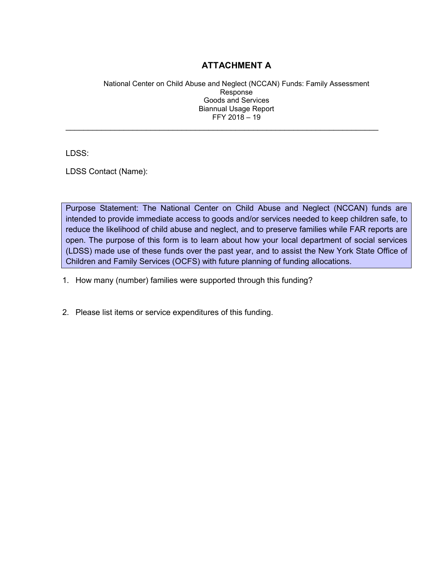## **ATTACHMENT A**

National Center on Child Abuse and Neglect (NCCAN) Funds: Family Assessment Response Goods and Services Biannual Usage Report FFY 2018 – 19

\_\_\_\_\_\_\_\_\_\_\_\_\_\_\_\_\_\_\_\_\_\_\_\_\_\_\_\_\_\_\_\_\_\_\_\_\_\_\_\_\_\_\_\_\_\_\_\_\_\_\_\_\_\_\_\_\_\_\_\_\_\_\_\_\_\_\_\_\_\_

LDSS:

LDSS Contact (Name):

Purpose Statement: The National Center on Child Abuse and Neglect (NCCAN) funds are intended to provide immediate access to goods and/or services needed to keep children safe, to reduce the likelihood of child abuse and neglect, and to preserve families while FAR reports are open. The purpose of this form is to learn about how your local department of social services (LDSS) made use of these funds over the past year, and to assist the New York State Office of Children and Family Services (OCFS) with future planning of funding allocations.

- 1. How many (number) families were supported through this funding?
- 2. Please list items or service expenditures of this funding.